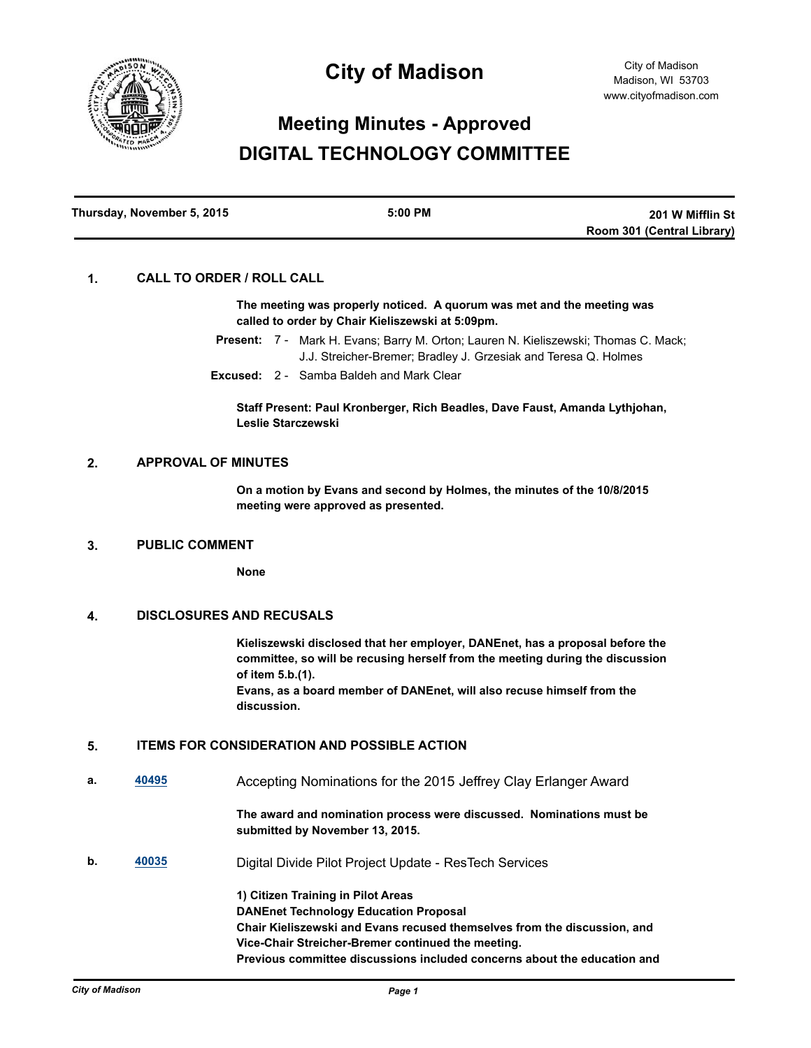

## **City of Madison**

# **Meeting Minutes - Approved DIGITAL TECHNOLOGY COMMITTEE**

| Thursday, November 5, 2015 | $5:00$ PM | 201 W Mifflin St           |
|----------------------------|-----------|----------------------------|
|                            |           | Room 301 (Central Library) |

#### **1. CALL TO ORDER / ROLL CALL**

**The meeting was properly noticed. A quorum was met and the meeting was called to order by Chair Kieliszewski at 5:09pm.**

Present: 7 - Mark H. Evans; Barry M. Orton; Lauren N. Kieliszewski; Thomas C. Mack; J.J. Streicher-Bremer; Bradley J. Grzesiak and Teresa Q. Holmes

**Excused:** 2 - Samba Baldeh and Mark Clear

**Staff Present: Paul Kronberger, Rich Beadles, Dave Faust, Amanda Lythjohan, Leslie Starczewski**

#### **2. APPROVAL OF MINUTES**

**On a motion by Evans and second by Holmes, the minutes of the 10/8/2015 meeting were approved as presented.**

#### **3. PUBLIC COMMENT**

**None**

#### **4. DISCLOSURES AND RECUSALS**

**Kieliszewski disclosed that her employer, DANEnet, has a proposal before the committee, so will be recusing herself from the meeting during the discussion of item 5.b.(1).**

**Evans, as a board member of DANEnet, will also recuse himself from the discussion.**

### **5. ITEMS FOR CONSIDERATION AND POSSIBLE ACTION**

**a. [40495](http://madison.legistar.com/gateway.aspx?m=l&id=/matter.aspx?key=43990)** Accepting Nominations for the 2015 Jeffrey Clay Erlanger Award

**The award and nomination process were discussed. Nominations must be submitted by November 13, 2015.**

**b. [40035](http://madison.legistar.com/gateway.aspx?m=l&id=/matter.aspx?key=43579)** Digital Divide Pilot Project Update - ResTech Services

**1) Citizen Training in Pilot Areas DANEnet Technology Education Proposal Chair Kieliszewski and Evans recused themselves from the discussion, and Vice-Chair Streicher-Bremer continued the meeting. Previous committee discussions included concerns about the education and**